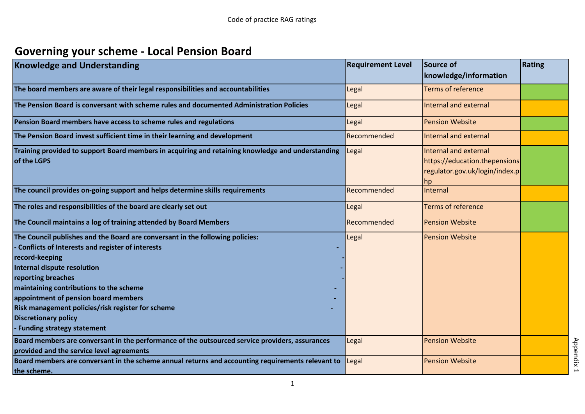## **Governing your scheme - Local Pension Board**

| <b>Knowledge and Understanding</b>                                                                                                                                                                                                                                                                                                                                                                                            | <b>Requirement Level</b> | Source of<br>knowledge/information                                                              | Rating |
|-------------------------------------------------------------------------------------------------------------------------------------------------------------------------------------------------------------------------------------------------------------------------------------------------------------------------------------------------------------------------------------------------------------------------------|--------------------------|-------------------------------------------------------------------------------------------------|--------|
| The board members are aware of their legal responsibilities and accountabilities                                                                                                                                                                                                                                                                                                                                              | Legal                    | <b>Terms of reference</b>                                                                       |        |
| The Pension Board is conversant with scheme rules and documented Administration Policies                                                                                                                                                                                                                                                                                                                                      | Legal                    | <b>Internal and external</b>                                                                    |        |
| Pension Board members have access to scheme rules and regulations                                                                                                                                                                                                                                                                                                                                                             | Legal                    | <b>Pension Website</b>                                                                          |        |
| The Pension Board invest sufficient time in their learning and development                                                                                                                                                                                                                                                                                                                                                    | Recommended              | Internal and external                                                                           |        |
| Training provided to support Board members in acquiring and retaining knowledge and understanding<br>of the LGPS                                                                                                                                                                                                                                                                                                              | Legal                    | Internal and external<br>https://education.thepensions<br>regulator.gov.uk/login/index.p<br> hp |        |
| The council provides on-going support and helps determine skills requirements                                                                                                                                                                                                                                                                                                                                                 | Recommended              | Internal                                                                                        |        |
| The roles and responsibilities of the board are clearly set out                                                                                                                                                                                                                                                                                                                                                               | Legal                    | <b>Terms of reference</b>                                                                       |        |
| The Council maintains a log of training attended by Board Members                                                                                                                                                                                                                                                                                                                                                             | Recommended              | <b>Pension Website</b>                                                                          |        |
| The Council publishes and the Board are conversant in the following policies:<br><b>Conflicts of Interests and register of interests</b><br>record-keeping<br><b>Internal dispute resolution</b><br>reporting breaches<br>maintaining contributions to the scheme<br>appointment of pension board members<br>Risk management policies/risk register for scheme<br><b>Discretionary policy</b><br>- Funding strategy statement | Legal                    | <b>Pension Website</b>                                                                          |        |
| Board members are conversant in the performance of the outsourced service providers, assurances<br>provided and the service level agreements                                                                                                                                                                                                                                                                                  | Legal                    | <b>Pension Website</b>                                                                          |        |
| Board members are conversant in the scheme annual returns and accounting requirements relevant to<br>the scheme.                                                                                                                                                                                                                                                                                                              | Legal                    | <b>Pension Website</b>                                                                          |        |

1

Appendix 1 Appendix 1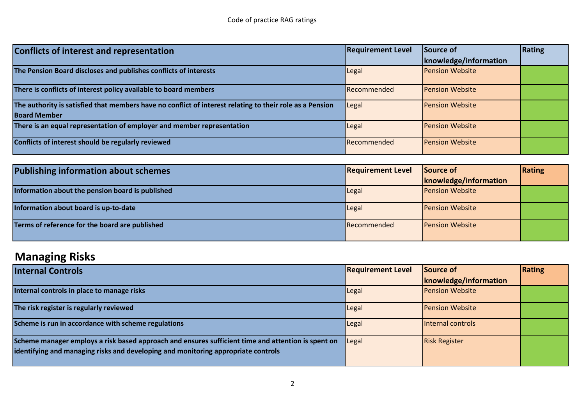| Conflicts of interest and representation                                                                 | <b>Requirement Level</b> | Source of              | Rating |
|----------------------------------------------------------------------------------------------------------|--------------------------|------------------------|--------|
|                                                                                                          |                          | knowledge/information  |        |
| The Pension Board discloses and publishes conflicts of interests                                         | Legal                    | <b>Pension Website</b> |        |
| There is conflicts of interest policy available to board members                                         | Recommended              | <b>Pension Website</b> |        |
| The authority is satisfied that members have no conflict of interest relating to their role as a Pension | Legal                    | <b>Pension Website</b> |        |
| <b>Board Member</b>                                                                                      |                          |                        |        |
| There is an equal representation of employer and member representation                                   | Legal                    | <b>Pension Website</b> |        |
| Conflicts of interest should be regularly reviewed                                                       | Recommended              | <b>Pension Website</b> |        |

| <b>Publishing information about schemes</b>      | <b>Requirement Level</b> | Source of              | Rating |
|--------------------------------------------------|--------------------------|------------------------|--------|
|                                                  |                          | knowledge/information  |        |
| Information about the pension board is published | Legal                    | <b>Pension Website</b> |        |
| Information about board is up-to-date            | Legal                    | <b>Pension Website</b> |        |
| Terms of reference for the board are published   | Recommended              | <b>Pension Website</b> |        |

## **Managing Risks**

| <b>Internal Controls</b>                                                                                                                                                                | <b>Requirement Level</b> | Source of              | Rating |
|-----------------------------------------------------------------------------------------------------------------------------------------------------------------------------------------|--------------------------|------------------------|--------|
|                                                                                                                                                                                         |                          | knowledge/information  |        |
| Internal controls in place to manage risks                                                                                                                                              | Legal                    | <b>Pension Website</b> |        |
| The risk register is regularly reviewed                                                                                                                                                 | Legal                    | <b>Pension Website</b> |        |
| Scheme is run in accordance with scheme regulations                                                                                                                                     | Legal                    | Internal controls      |        |
| Scheme manager employs a risk based approach and ensures sufficient time and attention is spent on<br>identifying and managing risks and developing and monitoring appropriate controls | Legal                    | <b>Risk Register</b>   |        |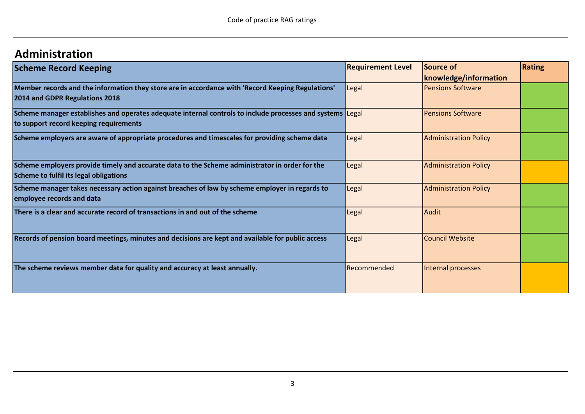## **Administration**

| <b>Scheme Record Keeping</b>                                                                                                                        | <b>Requirement Level</b> | Source of                    | Rating |
|-----------------------------------------------------------------------------------------------------------------------------------------------------|--------------------------|------------------------------|--------|
|                                                                                                                                                     |                          | knowledge/information        |        |
| Member records and the information they store are in accordance with 'Record Keeping Regulations'<br>2014 and GDPR Regulations 2018                 | Legal                    | <b>Pensions Software</b>     |        |
| Scheme manager establishes and operates adequate internal controls to include processes and systems Legal<br>to support record keeping requirements |                          | <b>Pensions Software</b>     |        |
| Scheme employers are aware of appropriate procedures and timescales for providing scheme data                                                       | Legal                    | <b>Administration Policy</b> |        |
| Scheme employers provide timely and accurate data to the Scheme administrator in order for the<br>Scheme to fulfil its legal obligations            | Legal                    | <b>Administration Policy</b> |        |
| Scheme manager takes necessary action against breaches of law by scheme employer in regards to<br>employee records and data                         | Legal                    | <b>Administration Policy</b> |        |
| There is a clear and accurate record of transactions in and out of the scheme                                                                       | Legal                    | <b>Audit</b>                 |        |
| Records of pension board meetings, minutes and decisions are kept and available for public access                                                   | Legal                    | <b>Council Website</b>       |        |
| The scheme reviews member data for quality and accuracy at least annually.                                                                          | Recommended              | Internal processes           |        |